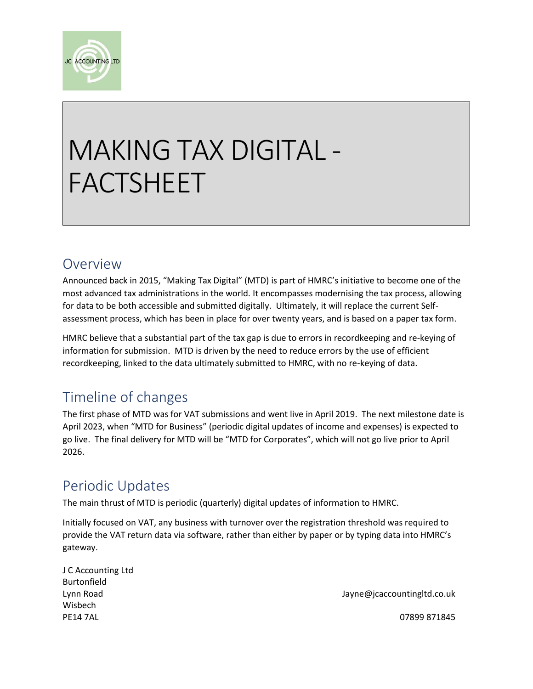

# MAKING TAX DIGITAL - FACTSHEET

#### Overview

Announced back in 2015, "Making Tax Digital" (MTD) is part of HMRC's initiative to become one of the most advanced tax administrations in the world. It encompasses modernising the tax process, allowing for data to be both accessible and submitted digitally. Ultimately, it will replace the current Selfassessment process, which has been in place for over twenty years, and is based on a paper tax form.

HMRC believe that a substantial part of the tax gap is due to errors in recordkeeping and re-keying of information for submission. MTD is driven by the need to reduce errors by the use of efficient recordkeeping, linked to the data ultimately submitted to HMRC, with no re-keying of data.

### Timeline of changes

The first phase of MTD was for VAT submissions and went live in April 2019. The next milestone date is April 2023, when "MTD for Business" (periodic digital updates of income and expenses) is expected to go live. The final delivery for MTD will be "MTD for Corporates", which will not go live prior to April 2026.

### Periodic Updates

The main thrust of MTD is periodic (quarterly) digital updates of information to HMRC.

Initially focused on VAT, any business with turnover over the registration threshold was required to provide the VAT return data via software, rather than either by paper or by typing data into HMRC's gateway.

| J C Accounting Ltd |                             |
|--------------------|-----------------------------|
| Burtonfield        |                             |
| Lynn Road          | Jayne@jcaccountingltd.co.uk |
| Wisbech            |                             |
| <b>PE14 7AL</b>    | 07899 871845                |
|                    |                             |